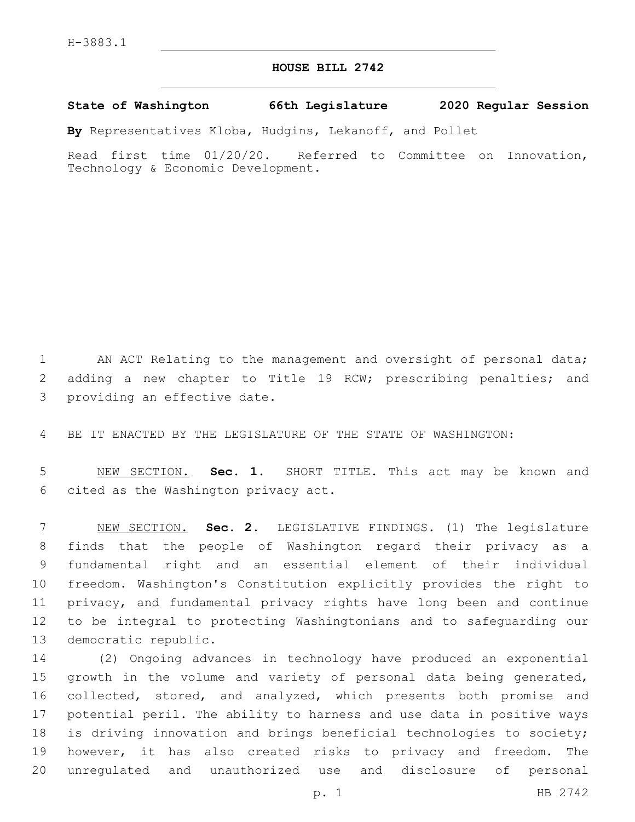## **HOUSE BILL 2742**

**State of Washington 66th Legislature 2020 Regular Session**

**By** Representatives Kloba, Hudgins, Lekanoff, and Pollet

Read first time 01/20/20. Referred to Committee on Innovation, Technology & Economic Development.

1 AN ACT Relating to the management and oversight of personal data; 2 adding a new chapter to Title 19 RCW; prescribing penalties; and 3 providing an effective date.

4 BE IT ENACTED BY THE LEGISLATURE OF THE STATE OF WASHINGTON:

5 NEW SECTION. **Sec. 1.** SHORT TITLE. This act may be known and 6 cited as the Washington privacy act.

 NEW SECTION. **Sec. 2.** LEGISLATIVE FINDINGS. (1) The legislature finds that the people of Washington regard their privacy as a fundamental right and an essential element of their individual freedom. Washington's Constitution explicitly provides the right to privacy, and fundamental privacy rights have long been and continue to be integral to protecting Washingtonians and to safeguarding our democratic republic.

 (2) Ongoing advances in technology have produced an exponential 15 growth in the volume and variety of personal data being generated, 16 collected, stored, and analyzed, which presents both promise and potential peril. The ability to harness and use data in positive ways is driving innovation and brings beneficial technologies to society; however, it has also created risks to privacy and freedom. The unregulated and unauthorized use and disclosure of personal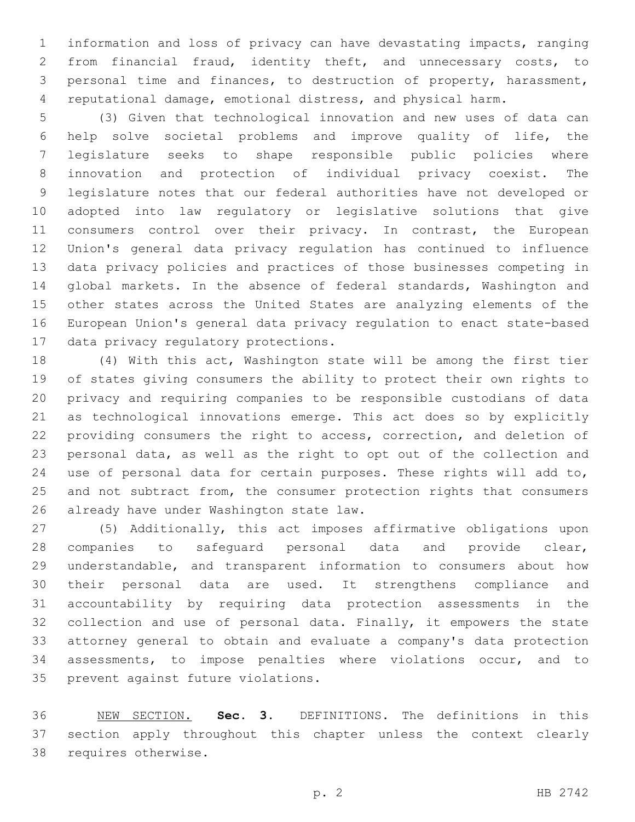information and loss of privacy can have devastating impacts, ranging from financial fraud, identity theft, and unnecessary costs, to personal time and finances, to destruction of property, harassment, reputational damage, emotional distress, and physical harm.

 (3) Given that technological innovation and new uses of data can help solve societal problems and improve quality of life, the legislature seeks to shape responsible public policies where innovation and protection of individual privacy coexist. The legislature notes that our federal authorities have not developed or adopted into law regulatory or legislative solutions that give 11 consumers control over their privacy. In contrast, the European Union's general data privacy regulation has continued to influence data privacy policies and practices of those businesses competing in global markets. In the absence of federal standards, Washington and other states across the United States are analyzing elements of the European Union's general data privacy regulation to enact state-based 17 data privacy regulatory protections.

 (4) With this act, Washington state will be among the first tier of states giving consumers the ability to protect their own rights to privacy and requiring companies to be responsible custodians of data as technological innovations emerge. This act does so by explicitly providing consumers the right to access, correction, and deletion of personal data, as well as the right to opt out of the collection and use of personal data for certain purposes. These rights will add to, 25 and not subtract from, the consumer protection rights that consumers 26 already have under Washington state law.

 (5) Additionally, this act imposes affirmative obligations upon companies to safeguard personal data and provide clear, understandable, and transparent information to consumers about how their personal data are used. It strengthens compliance and accountability by requiring data protection assessments in the 32 collection and use of personal data. Finally, it empowers the state attorney general to obtain and evaluate a company's data protection assessments, to impose penalties where violations occur, and to 35 prevent against future violations.

 NEW SECTION. **Sec. 3.** DEFINITIONS. The definitions in this section apply throughout this chapter unless the context clearly requires otherwise.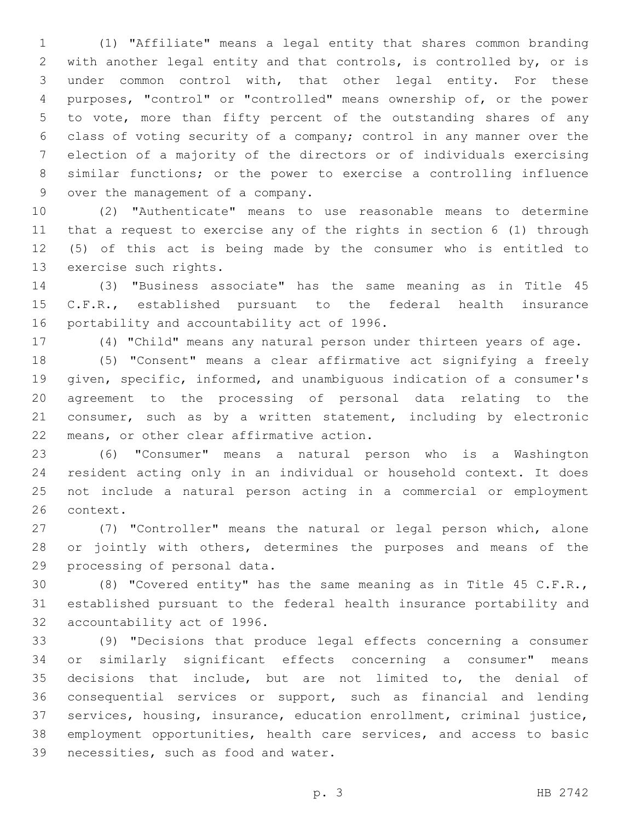(1) "Affiliate" means a legal entity that shares common branding with another legal entity and that controls, is controlled by, or is under common control with, that other legal entity. For these purposes, "control" or "controlled" means ownership of, or the power to vote, more than fifty percent of the outstanding shares of any class of voting security of a company; control in any manner over the election of a majority of the directors or of individuals exercising similar functions; or the power to exercise a controlling influence 9 over the management of a company.

 (2) "Authenticate" means to use reasonable means to determine that a request to exercise any of the rights in section 6 (1) through (5) of this act is being made by the consumer who is entitled to 13 exercise such rights.

 (3) "Business associate" has the same meaning as in Title 45 C.F.R., established pursuant to the federal health insurance 16 portability and accountability act of 1996.

(4) "Child" means any natural person under thirteen years of age.

 (5) "Consent" means a clear affirmative act signifying a freely given, specific, informed, and unambiguous indication of a consumer's agreement to the processing of personal data relating to the consumer, such as by a written statement, including by electronic 22 means, or other clear affirmative action.

 (6) "Consumer" means a natural person who is a Washington resident acting only in an individual or household context. It does not include a natural person acting in a commercial or employment 26 context.

 (7) "Controller" means the natural or legal person which, alone 28 or jointly with others, determines the purposes and means of the 29 processing of personal data.

 (8) "Covered entity" has the same meaning as in Title 45 C.F.R., established pursuant to the federal health insurance portability and 32 accountability act of 1996.

 (9) "Decisions that produce legal effects concerning a consumer or similarly significant effects concerning a consumer" means decisions that include, but are not limited to, the denial of consequential services or support, such as financial and lending services, housing, insurance, education enrollment, criminal justice, employment opportunities, health care services, and access to basic 39 necessities, such as food and water.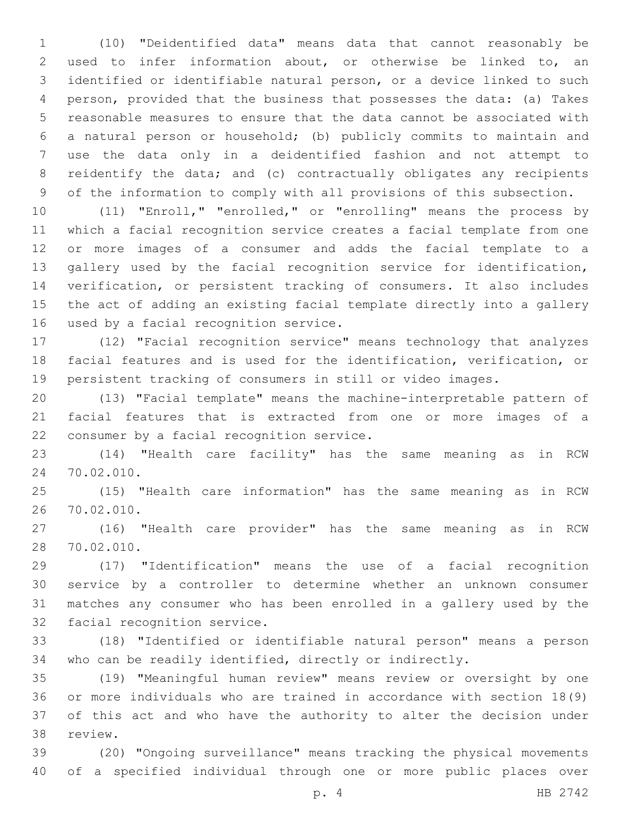(10) "Deidentified data" means data that cannot reasonably be used to infer information about, or otherwise be linked to, an identified or identifiable natural person, or a device linked to such person, provided that the business that possesses the data: (a) Takes reasonable measures to ensure that the data cannot be associated with a natural person or household; (b) publicly commits to maintain and use the data only in a deidentified fashion and not attempt to reidentify the data; and (c) contractually obligates any recipients of the information to comply with all provisions of this subsection.

 (11) "Enroll," "enrolled," or "enrolling" means the process by which a facial recognition service creates a facial template from one or more images of a consumer and adds the facial template to a gallery used by the facial recognition service for identification, verification, or persistent tracking of consumers. It also includes the act of adding an existing facial template directly into a gallery 16 used by a facial recognition service.

 (12) "Facial recognition service" means technology that analyzes facial features and is used for the identification, verification, or persistent tracking of consumers in still or video images.

 (13) "Facial template" means the machine-interpretable pattern of facial features that is extracted from one or more images of a 22 consumer by a facial recognition service.

 (14) "Health care facility" has the same meaning as in RCW 24 70.02.010.

 (15) "Health care information" has the same meaning as in RCW 70.02.010.26

 (16) "Health care provider" has the same meaning as in RCW 28 70.02.010.

 (17) "Identification" means the use of a facial recognition service by a controller to determine whether an unknown consumer matches any consumer who has been enrolled in a gallery used by the 32 facial recognition service.

 (18) "Identified or identifiable natural person" means a person who can be readily identified, directly or indirectly.

 (19) "Meaningful human review" means review or oversight by one or more individuals who are trained in accordance with section 18(9) of this act and who have the authority to alter the decision under 38 review.

 (20) "Ongoing surveillance" means tracking the physical movements of a specified individual through one or more public places over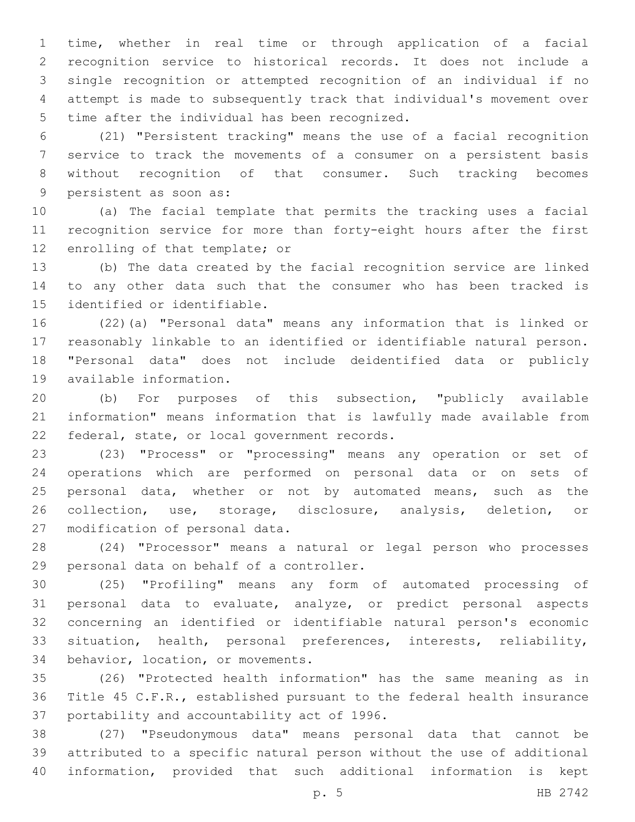time, whether in real time or through application of a facial recognition service to historical records. It does not include a single recognition or attempted recognition of an individual if no attempt is made to subsequently track that individual's movement over 5 time after the individual has been recognized.

 (21) "Persistent tracking" means the use of a facial recognition service to track the movements of a consumer on a persistent basis without recognition of that consumer. Such tracking becomes 9 persistent as soon as:

 (a) The facial template that permits the tracking uses a facial recognition service for more than forty-eight hours after the first 12 enrolling of that template; or

 (b) The data created by the facial recognition service are linked to any other data such that the consumer who has been tracked is 15 identified or identifiable.

 (22)(a) "Personal data" means any information that is linked or reasonably linkable to an identified or identifiable natural person. "Personal data" does not include deidentified data or publicly 19 available information.

 (b) For purposes of this subsection, "publicly available information" means information that is lawfully made available from 22 federal, state, or local government records.

 (23) "Process" or "processing" means any operation or set of operations which are performed on personal data or on sets of personal data, whether or not by automated means, such as the collection, use, storage, disclosure, analysis, deletion, or 27 modification of personal data.

 (24) "Processor" means a natural or legal person who processes 29 personal data on behalf of a controller.

 (25) "Profiling" means any form of automated processing of personal data to evaluate, analyze, or predict personal aspects concerning an identified or identifiable natural person's economic situation, health, personal preferences, interests, reliability, 34 behavior, location, or movements.

 (26) "Protected health information" has the same meaning as in Title 45 C.F.R., established pursuant to the federal health insurance 37 portability and accountability act of 1996.

 (27) "Pseudonymous data" means personal data that cannot be attributed to a specific natural person without the use of additional information, provided that such additional information is kept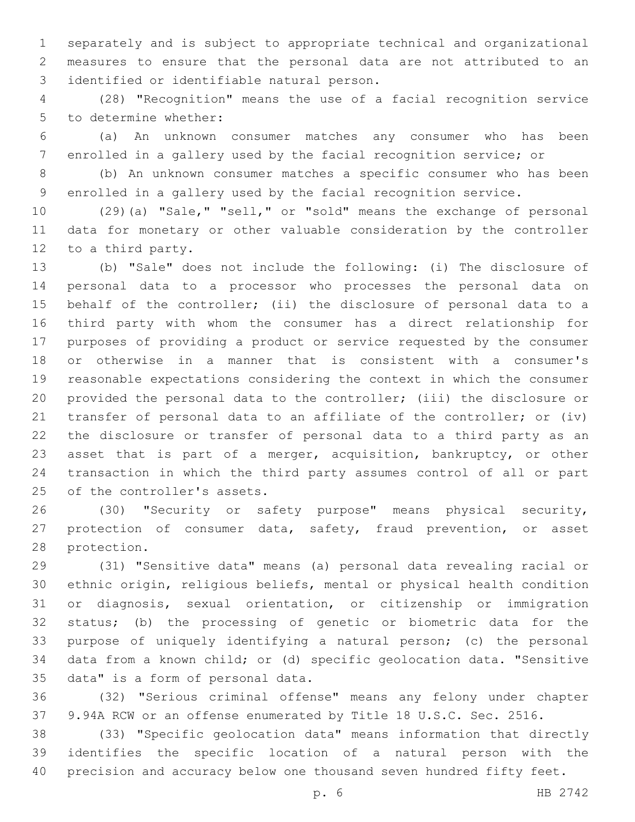separately and is subject to appropriate technical and organizational measures to ensure that the personal data are not attributed to an 3 identified or identifiable natural person.

 (28) "Recognition" means the use of a facial recognition service 5 to determine whether:

 (a) An unknown consumer matches any consumer who has been enrolled in a gallery used by the facial recognition service; or

 (b) An unknown consumer matches a specific consumer who has been enrolled in a gallery used by the facial recognition service.

 (29)(a) "Sale," "sell," or "sold" means the exchange of personal data for monetary or other valuable consideration by the controller 12 to a third party.

 (b) "Sale" does not include the following: (i) The disclosure of personal data to a processor who processes the personal data on behalf of the controller; (ii) the disclosure of personal data to a third party with whom the consumer has a direct relationship for purposes of providing a product or service requested by the consumer or otherwise in a manner that is consistent with a consumer's reasonable expectations considering the context in which the consumer provided the personal data to the controller; (iii) the disclosure or transfer of personal data to an affiliate of the controller; or (iv) the disclosure or transfer of personal data to a third party as an asset that is part of a merger, acquisition, bankruptcy, or other transaction in which the third party assumes control of all or part 25 of the controller's assets.

 (30) "Security or safety purpose" means physical security, protection of consumer data, safety, fraud prevention, or asset 28 protection.

 (31) "Sensitive data" means (a) personal data revealing racial or ethnic origin, religious beliefs, mental or physical health condition or diagnosis, sexual orientation, or citizenship or immigration status; (b) the processing of genetic or biometric data for the purpose of uniquely identifying a natural person; (c) the personal data from a known child; or (d) specific geolocation data. "Sensitive 35 data" is a form of personal data.

 (32) "Serious criminal offense" means any felony under chapter 9.94A RCW or an offense enumerated by Title 18 U.S.C. Sec. 2516.

 (33) "Specific geolocation data" means information that directly identifies the specific location of a natural person with the precision and accuracy below one thousand seven hundred fifty feet.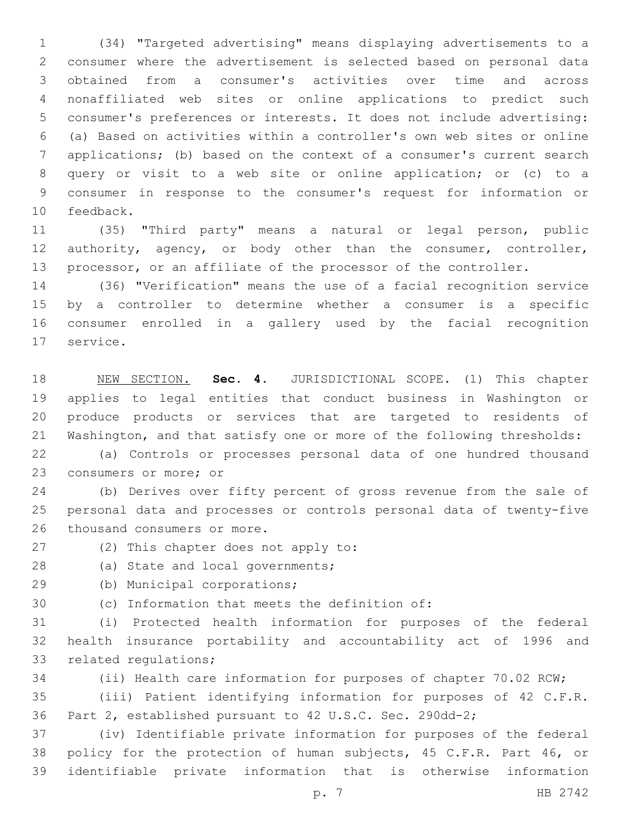(34) "Targeted advertising" means displaying advertisements to a consumer where the advertisement is selected based on personal data obtained from a consumer's activities over time and across nonaffiliated web sites or online applications to predict such consumer's preferences or interests. It does not include advertising: (a) Based on activities within a controller's own web sites or online applications; (b) based on the context of a consumer's current search query or visit to a web site or online application; or (c) to a consumer in response to the consumer's request for information or 10 feedback.

 (35) "Third party" means a natural or legal person, public authority, agency, or body other than the consumer, controller, processor, or an affiliate of the processor of the controller.

 (36) "Verification" means the use of a facial recognition service by a controller to determine whether a consumer is a specific consumer enrolled in a gallery used by the facial recognition 17 service.

 NEW SECTION. **Sec. 4.** JURISDICTIONAL SCOPE. (1) This chapter applies to legal entities that conduct business in Washington or produce products or services that are targeted to residents of Washington, and that satisfy one or more of the following thresholds:

 (a) Controls or processes personal data of one hundred thousand 23 consumers or more; or

 (b) Derives over fifty percent of gross revenue from the sale of personal data and processes or controls personal data of twenty-five 26 thousand consumers or more.

27 (2) This chapter does not apply to:

28 (a) State and local governments;

- 29 (b) Municipal corporations;
- 30 (c) Information that meets the definition of:

 (i) Protected health information for purposes of the federal health insurance portability and accountability act of 1996 and 33 related requlations;

(ii) Health care information for purposes of chapter 70.02 RCW;

 (iii) Patient identifying information for purposes of 42 C.F.R. Part 2, established pursuant to 42 U.S.C. Sec. 290dd-2;

 (iv) Identifiable private information for purposes of the federal policy for the protection of human subjects, 45 C.F.R. Part 46, or identifiable private information that is otherwise information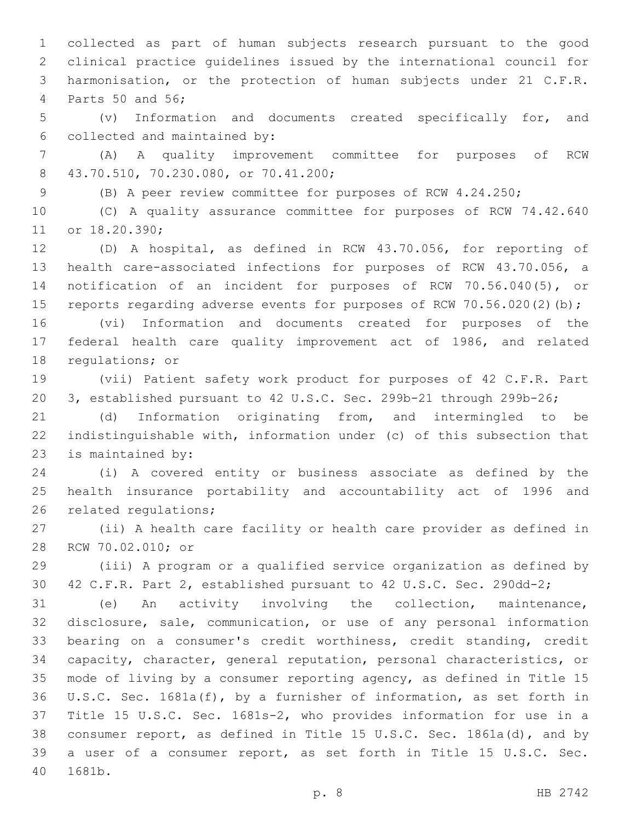collected as part of human subjects research pursuant to the good clinical practice guidelines issued by the international council for harmonisation, or the protection of human subjects under 21 C.F.R. 4 Parts 50 and 56;

 (v) Information and documents created specifically for, and 6 collected and maintained by:

 (A) A quality improvement committee for purposes of RCW 43.70.510, 70.230.080, or 70.41.200;8

(B) A peer review committee for purposes of RCW 4.24.250;

 (C) A quality assurance committee for purposes of RCW 74.42.640 11 or 18.20.390;

 (D) A hospital, as defined in RCW 43.70.056, for reporting of health care-associated infections for purposes of RCW 43.70.056, a notification of an incident for purposes of RCW 70.56.040(5), or 15 reports regarding adverse events for purposes of RCW 70.56.020(2)(b);

 (vi) Information and documents created for purposes of the federal health care quality improvement act of 1986, and related 18 regulations; or

 (vii) Patient safety work product for purposes of 42 C.F.R. Part 3, established pursuant to 42 U.S.C. Sec. 299b-21 through 299b-26;

 (d) Information originating from, and intermingled to be indistinguishable with, information under (c) of this subsection that 23 is maintained by:

 (i) A covered entity or business associate as defined by the health insurance portability and accountability act of 1996 and 26 related requlations;

 (ii) A health care facility or health care provider as defined in 28 RCW 70.02.010; or

 (iii) A program or a qualified service organization as defined by 42 C.F.R. Part 2, established pursuant to 42 U.S.C. Sec. 290dd-2;

 (e) An activity involving the collection, maintenance, disclosure, sale, communication, or use of any personal information bearing on a consumer's credit worthiness, credit standing, credit capacity, character, general reputation, personal characteristics, or mode of living by a consumer reporting agency, as defined in Title 15 U.S.C. Sec. 1681a(f), by a furnisher of information, as set forth in Title 15 U.S.C. Sec. 1681s-2, who provides information for use in a consumer report, as defined in Title 15 U.S.C. Sec. 1861a(d), and by a user of a consumer report, as set forth in Title 15 U.S.C. Sec. 40 1681b.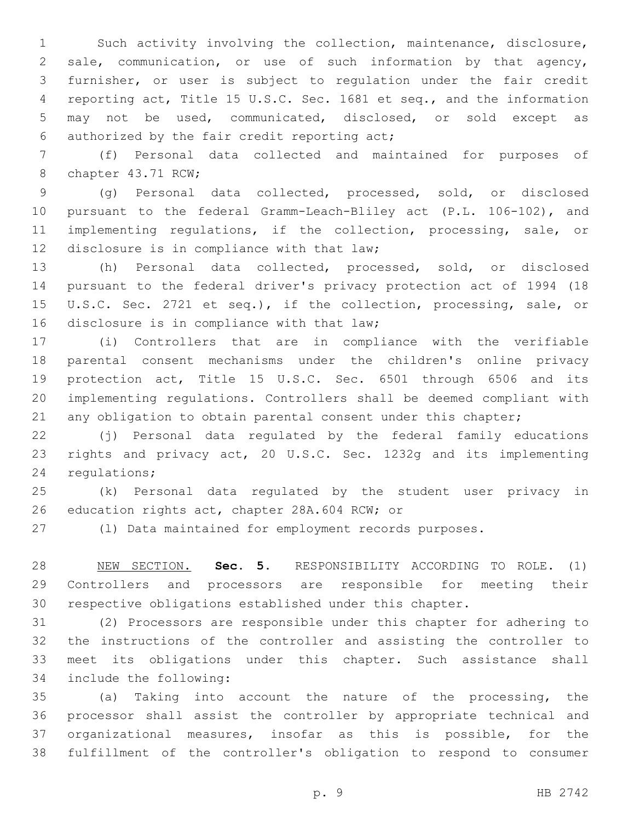Such activity involving the collection, maintenance, disclosure, sale, communication, or use of such information by that agency, furnisher, or user is subject to regulation under the fair credit reporting act, Title 15 U.S.C. Sec. 1681 et seq., and the information may not be used, communicated, disclosed, or sold except as 6 authorized by the fair credit reporting act;

 (f) Personal data collected and maintained for purposes of 8 chapter 43.71 RCW;

 (g) Personal data collected, processed, sold, or disclosed pursuant to the federal Gramm-Leach-Bliley act (P.L. 106-102), and implementing regulations, if the collection, processing, sale, or 12 disclosure is in compliance with that law;

 (h) Personal data collected, processed, sold, or disclosed pursuant to the federal driver's privacy protection act of 1994 (18 U.S.C. Sec. 2721 et seq.), if the collection, processing, sale, or 16 disclosure is in compliance with that law;

 (i) Controllers that are in compliance with the verifiable parental consent mechanisms under the children's online privacy protection act, Title 15 U.S.C. Sec. 6501 through 6506 and its implementing regulations. Controllers shall be deemed compliant with 21 any obligation to obtain parental consent under this chapter;

 (j) Personal data regulated by the federal family educations rights and privacy act, 20 U.S.C. Sec. 1232g and its implementing 24 regulations;

 (k) Personal data regulated by the student user privacy in 26 education rights act, chapter 28A.604 RCW; or

(l) Data maintained for employment records purposes.

 NEW SECTION. **Sec. 5.** RESPONSIBILITY ACCORDING TO ROLE. (1) Controllers and processors are responsible for meeting their respective obligations established under this chapter.

 (2) Processors are responsible under this chapter for adhering to the instructions of the controller and assisting the controller to meet its obligations under this chapter. Such assistance shall 34 include the following:

 (a) Taking into account the nature of the processing, the processor shall assist the controller by appropriate technical and organizational measures, insofar as this is possible, for the fulfillment of the controller's obligation to respond to consumer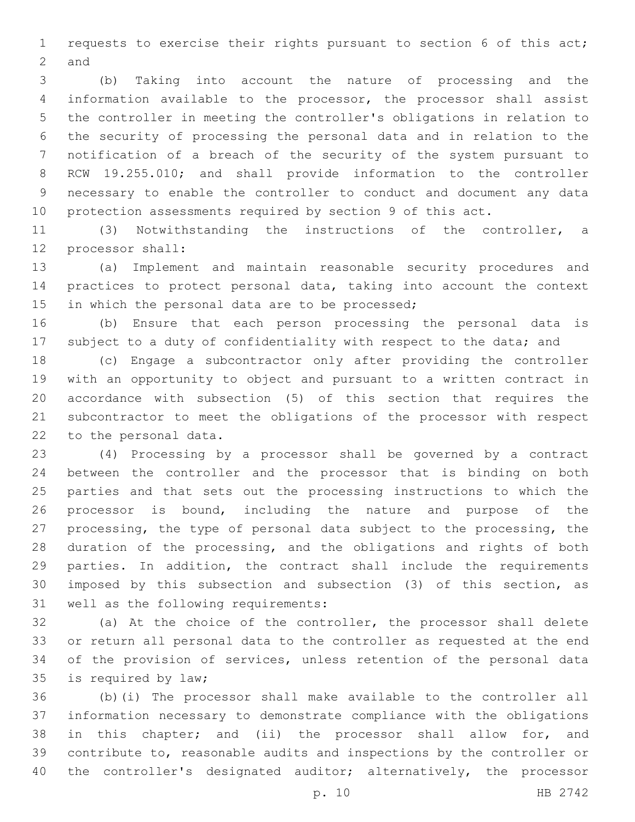requests to exercise their rights pursuant to section 6 of this act; 2 and

 (b) Taking into account the nature of processing and the information available to the processor, the processor shall assist the controller in meeting the controller's obligations in relation to the security of processing the personal data and in relation to the notification of a breach of the security of the system pursuant to RCW 19.255.010; and shall provide information to the controller necessary to enable the controller to conduct and document any data protection assessments required by section 9 of this act.

 (3) Notwithstanding the instructions of the controller, a 12 processor shall:

 (a) Implement and maintain reasonable security procedures and practices to protect personal data, taking into account the context 15 in which the personal data are to be processed;

 (b) Ensure that each person processing the personal data is 17 subject to a duty of confidentiality with respect to the data; and

 (c) Engage a subcontractor only after providing the controller with an opportunity to object and pursuant to a written contract in accordance with subsection (5) of this section that requires the subcontractor to meet the obligations of the processor with respect 22 to the personal data.

 (4) Processing by a processor shall be governed by a contract between the controller and the processor that is binding on both parties and that sets out the processing instructions to which the processor is bound, including the nature and purpose of the processing, the type of personal data subject to the processing, the duration of the processing, and the obligations and rights of both parties. In addition, the contract shall include the requirements imposed by this subsection and subsection (3) of this section, as 31 well as the following requirements:

 (a) At the choice of the controller, the processor shall delete or return all personal data to the controller as requested at the end of the provision of services, unless retention of the personal data 35 is required by law;

 (b)(i) The processor shall make available to the controller all information necessary to demonstrate compliance with the obligations in this chapter; and (ii) the processor shall allow for, and contribute to, reasonable audits and inspections by the controller or 40 the controller's designated auditor; alternatively, the processor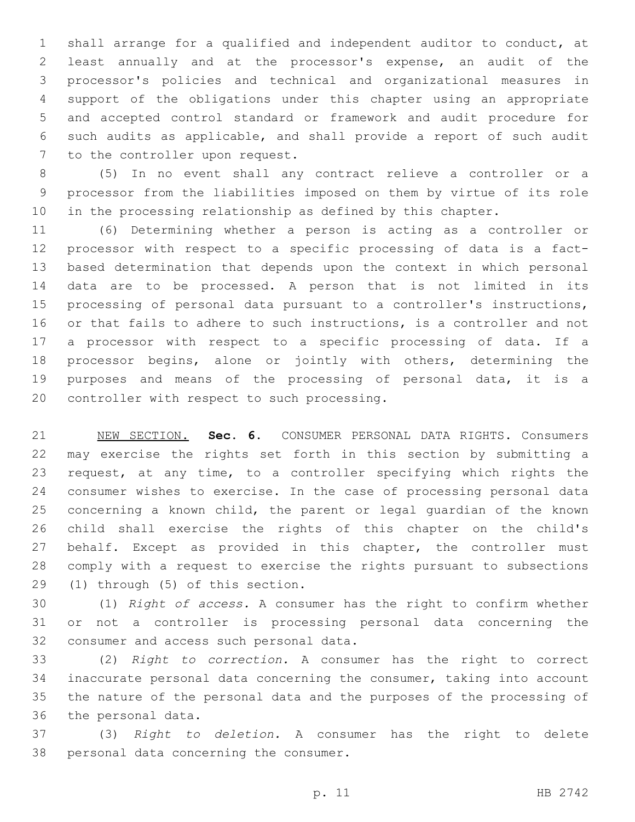shall arrange for a qualified and independent auditor to conduct, at least annually and at the processor's expense, an audit of the processor's policies and technical and organizational measures in support of the obligations under this chapter using an appropriate and accepted control standard or framework and audit procedure for such audits as applicable, and shall provide a report of such audit 7 to the controller upon request.

 (5) In no event shall any contract relieve a controller or a processor from the liabilities imposed on them by virtue of its role in the processing relationship as defined by this chapter.

 (6) Determining whether a person is acting as a controller or processor with respect to a specific processing of data is a fact- based determination that depends upon the context in which personal data are to be processed. A person that is not limited in its processing of personal data pursuant to a controller's instructions, or that fails to adhere to such instructions, is a controller and not a processor with respect to a specific processing of data. If a processor begins, alone or jointly with others, determining the purposes and means of the processing of personal data, it is a 20 controller with respect to such processing.

 NEW SECTION. **Sec. 6.** CONSUMER PERSONAL DATA RIGHTS. Consumers may exercise the rights set forth in this section by submitting a request, at any time, to a controller specifying which rights the consumer wishes to exercise. In the case of processing personal data concerning a known child, the parent or legal guardian of the known child shall exercise the rights of this chapter on the child's 27 behalf. Except as provided in this chapter, the controller must comply with a request to exercise the rights pursuant to subsections (1) through (5) of this section.

 (1) *Right of access.* A consumer has the right to confirm whether or not a controller is processing personal data concerning the 32 consumer and access such personal data.

 (2) *Right to correction.* A consumer has the right to correct inaccurate personal data concerning the consumer, taking into account the nature of the personal data and the purposes of the processing of 36 the personal data.

 (3) *Right to deletion.* A consumer has the right to delete 38 personal data concerning the consumer.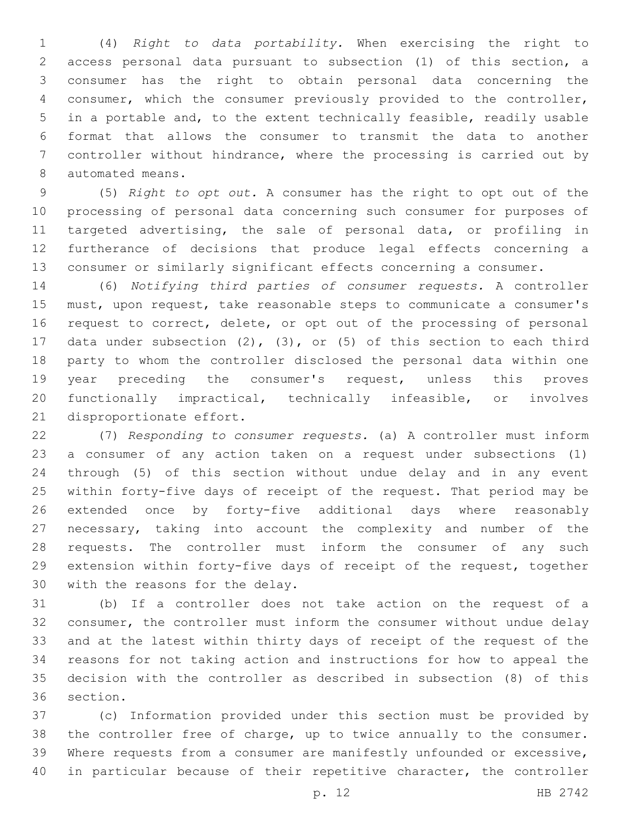(4) *Right to data portability.* When exercising the right to access personal data pursuant to subsection (1) of this section, a consumer has the right to obtain personal data concerning the consumer, which the consumer previously provided to the controller, in a portable and, to the extent technically feasible, readily usable format that allows the consumer to transmit the data to another controller without hindrance, where the processing is carried out by 8 automated means.

 (5) *Right to opt out.* A consumer has the right to opt out of the processing of personal data concerning such consumer for purposes of targeted advertising, the sale of personal data, or profiling in furtherance of decisions that produce legal effects concerning a consumer or similarly significant effects concerning a consumer.

 (6) *Notifying third parties of consumer requests.* A controller must, upon request, take reasonable steps to communicate a consumer's 16 request to correct, delete, or opt out of the processing of personal data under subsection (2), (3), or (5) of this section to each third party to whom the controller disclosed the personal data within one year preceding the consumer's request, unless this proves functionally impractical, technically infeasible, or involves 21 disproportionate effort.

 (7) *Responding to consumer requests.* (a) A controller must inform a consumer of any action taken on a request under subsections (1) through (5) of this section without undue delay and in any event within forty-five days of receipt of the request. That period may be extended once by forty-five additional days where reasonably necessary, taking into account the complexity and number of the requests. The controller must inform the consumer of any such extension within forty-five days of receipt of the request, together 30 with the reasons for the delay.

 (b) If a controller does not take action on the request of a consumer, the controller must inform the consumer without undue delay and at the latest within thirty days of receipt of the request of the reasons for not taking action and instructions for how to appeal the decision with the controller as described in subsection (8) of this 36 section.

 (c) Information provided under this section must be provided by the controller free of charge, up to twice annually to the consumer. Where requests from a consumer are manifestly unfounded or excessive, in particular because of their repetitive character, the controller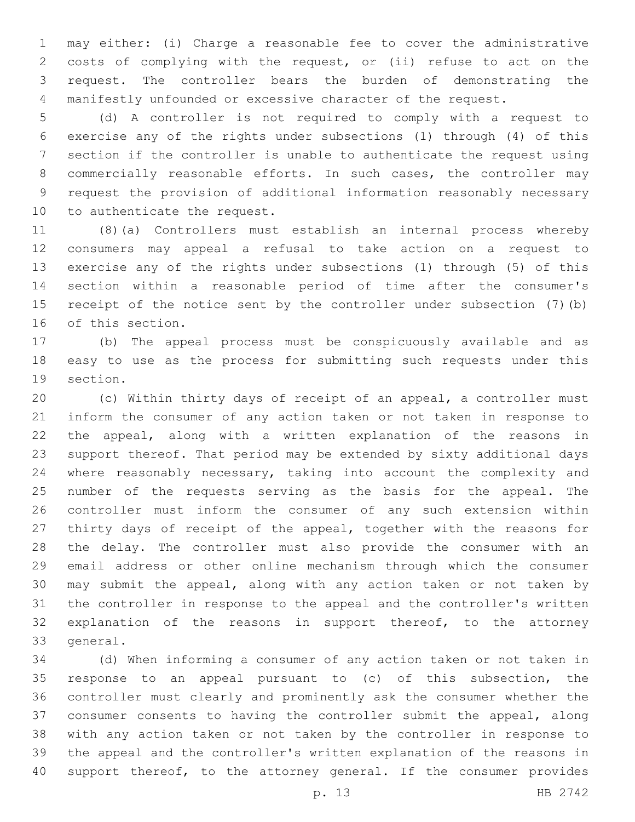may either: (i) Charge a reasonable fee to cover the administrative costs of complying with the request, or (ii) refuse to act on the request. The controller bears the burden of demonstrating the manifestly unfounded or excessive character of the request.

 (d) A controller is not required to comply with a request to exercise any of the rights under subsections (1) through (4) of this section if the controller is unable to authenticate the request using commercially reasonable efforts. In such cases, the controller may request the provision of additional information reasonably necessary 10 to authenticate the request.

 (8)(a) Controllers must establish an internal process whereby consumers may appeal a refusal to take action on a request to exercise any of the rights under subsections (1) through (5) of this section within a reasonable period of time after the consumer's receipt of the notice sent by the controller under subsection (7)(b) 16 of this section.

 (b) The appeal process must be conspicuously available and as easy to use as the process for submitting such requests under this 19 section.

 (c) Within thirty days of receipt of an appeal, a controller must inform the consumer of any action taken or not taken in response to the appeal, along with a written explanation of the reasons in support thereof. That period may be extended by sixty additional days where reasonably necessary, taking into account the complexity and number of the requests serving as the basis for the appeal. The controller must inform the consumer of any such extension within thirty days of receipt of the appeal, together with the reasons for the delay. The controller must also provide the consumer with an email address or other online mechanism through which the consumer may submit the appeal, along with any action taken or not taken by the controller in response to the appeal and the controller's written explanation of the reasons in support thereof, to the attorney 33 general.

 (d) When informing a consumer of any action taken or not taken in response to an appeal pursuant to (c) of this subsection, the controller must clearly and prominently ask the consumer whether the consumer consents to having the controller submit the appeal, along with any action taken or not taken by the controller in response to the appeal and the controller's written explanation of the reasons in 40 support thereof, to the attorney general. If the consumer provides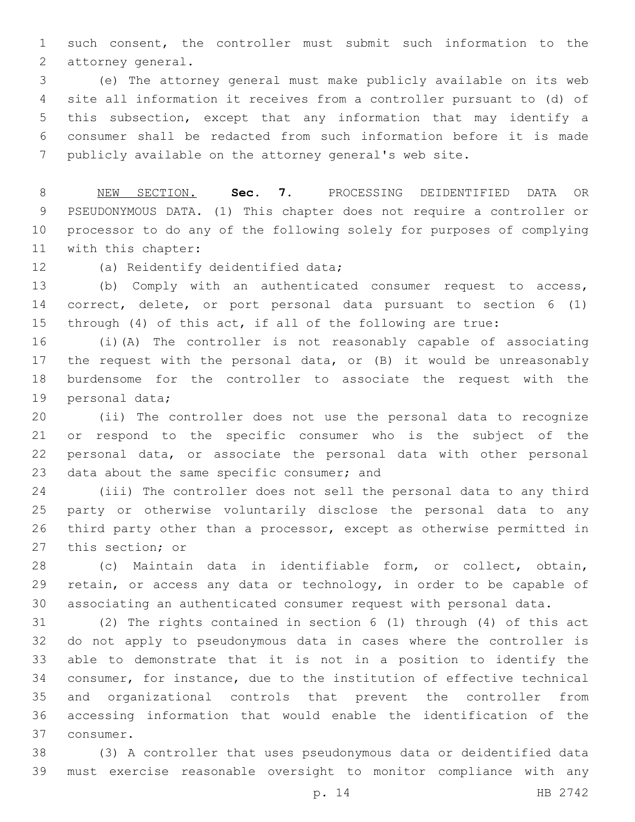such consent, the controller must submit such information to the 2 attorney general.

 (e) The attorney general must make publicly available on its web site all information it receives from a controller pursuant to (d) of this subsection, except that any information that may identify a consumer shall be redacted from such information before it is made publicly available on the attorney general's web site.

 NEW SECTION. **Sec. 7.** PROCESSING DEIDENTIFIED DATA OR PSEUDONYMOUS DATA. (1) This chapter does not require a controller or processor to do any of the following solely for purposes of complying with this chapter:

12 (a) Reidentify deidentified data;

 (b) Comply with an authenticated consumer request to access, correct, delete, or port personal data pursuant to section 6 (1) through (4) of this act, if all of the following are true:

 (i)(A) The controller is not reasonably capable of associating the request with the personal data, or (B) it would be unreasonably burdensome for the controller to associate the request with the 19 personal data;

 (ii) The controller does not use the personal data to recognize or respond to the specific consumer who is the subject of the personal data, or associate the personal data with other personal 23 data about the same specific consumer; and

 (iii) The controller does not sell the personal data to any third party or otherwise voluntarily disclose the personal data to any third party other than a processor, except as otherwise permitted in 27 this section; or

 (c) Maintain data in identifiable form, or collect, obtain, retain, or access any data or technology, in order to be capable of associating an authenticated consumer request with personal data.

 (2) The rights contained in section 6 (1) through (4) of this act do not apply to pseudonymous data in cases where the controller is able to demonstrate that it is not in a position to identify the consumer, for instance, due to the institution of effective technical and organizational controls that prevent the controller from accessing information that would enable the identification of the 37 consumer.

 (3) A controller that uses pseudonymous data or deidentified data must exercise reasonable oversight to monitor compliance with any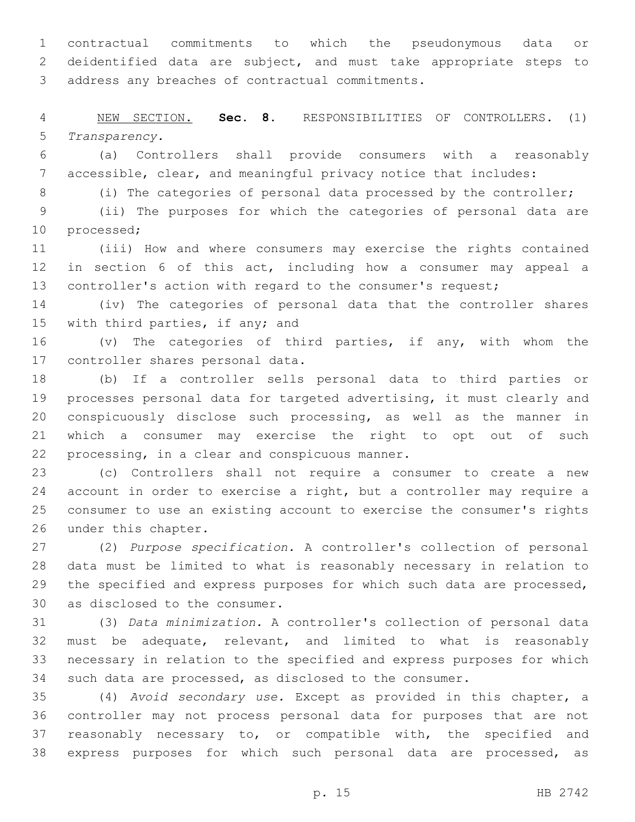contractual commitments to which the pseudonymous data or deidentified data are subject, and must take appropriate steps to 3 address any breaches of contractual commitments.

 NEW SECTION. **Sec. 8.** RESPONSIBILITIES OF CONTROLLERS. (1) *Transparency.*

 (a) Controllers shall provide consumers with a reasonably accessible, clear, and meaningful privacy notice that includes:

(i) The categories of personal data processed by the controller;

 (ii) The purposes for which the categories of personal data are 10 processed;

 (iii) How and where consumers may exercise the rights contained in section 6 of this act, including how a consumer may appeal a 13 controller's action with regard to the consumer's request;

 (iv) The categories of personal data that the controller shares 15 with third parties, if any; and

 (v) The categories of third parties, if any, with whom the 17 controller shares personal data.

 (b) If a controller sells personal data to third parties or processes personal data for targeted advertising, it must clearly and conspicuously disclose such processing, as well as the manner in which a consumer may exercise the right to opt out of such 22 processing, in a clear and conspicuous manner.

 (c) Controllers shall not require a consumer to create a new account in order to exercise a right, but a controller may require a consumer to use an existing account to exercise the consumer's rights 26 under this chapter.

 (2) *Purpose specification.* A controller's collection of personal data must be limited to what is reasonably necessary in relation to the specified and express purposes for which such data are processed, 30 as disclosed to the consumer.

 (3) *Data minimization.* A controller's collection of personal data must be adequate, relevant, and limited to what is reasonably necessary in relation to the specified and express purposes for which such data are processed, as disclosed to the consumer.

 (4) *Avoid secondary use.* Except as provided in this chapter, a controller may not process personal data for purposes that are not reasonably necessary to, or compatible with, the specified and express purposes for which such personal data are processed, as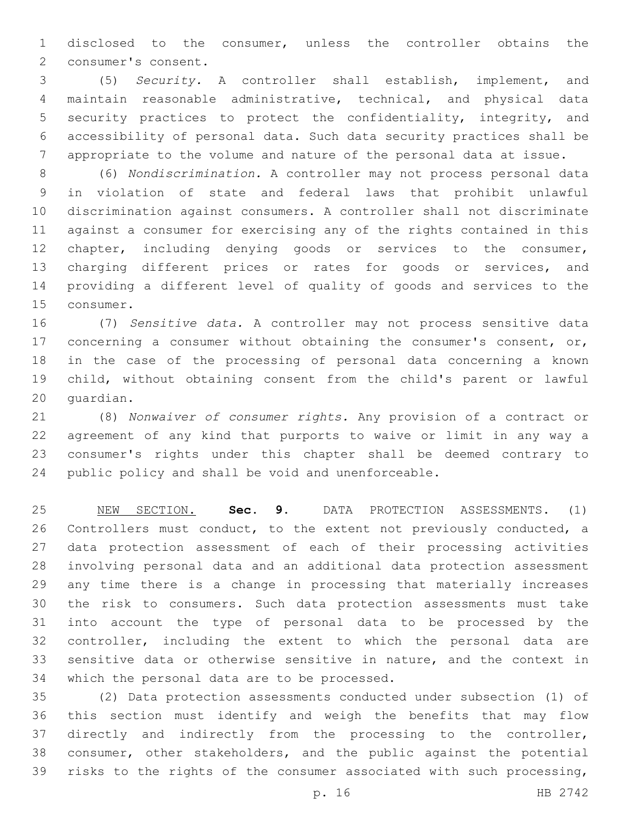disclosed to the consumer, unless the controller obtains the 2 consumer's consent.

 (5) *Security.* A controller shall establish, implement, and maintain reasonable administrative, technical, and physical data security practices to protect the confidentiality, integrity, and accessibility of personal data. Such data security practices shall be appropriate to the volume and nature of the personal data at issue.

 (6) *Nondiscrimination.* A controller may not process personal data in violation of state and federal laws that prohibit unlawful discrimination against consumers. A controller shall not discriminate against a consumer for exercising any of the rights contained in this chapter, including denying goods or services to the consumer, charging different prices or rates for goods or services, and providing a different level of quality of goods and services to the 15 consumer.

 (7) *Sensitive data.* A controller may not process sensitive data 17 concerning a consumer without obtaining the consumer's consent, or, in the case of the processing of personal data concerning a known child, without obtaining consent from the child's parent or lawful 20 quardian.

 (8) *Nonwaiver of consumer rights.* Any provision of a contract or agreement of any kind that purports to waive or limit in any way a consumer's rights under this chapter shall be deemed contrary to public policy and shall be void and unenforceable.

 NEW SECTION. **Sec. 9.** DATA PROTECTION ASSESSMENTS. (1) Controllers must conduct, to the extent not previously conducted, a data protection assessment of each of their processing activities involving personal data and an additional data protection assessment any time there is a change in processing that materially increases the risk to consumers. Such data protection assessments must take into account the type of personal data to be processed by the controller, including the extent to which the personal data are sensitive data or otherwise sensitive in nature, and the context in which the personal data are to be processed.

 (2) Data protection assessments conducted under subsection (1) of this section must identify and weigh the benefits that may flow directly and indirectly from the processing to the controller, consumer, other stakeholders, and the public against the potential risks to the rights of the consumer associated with such processing,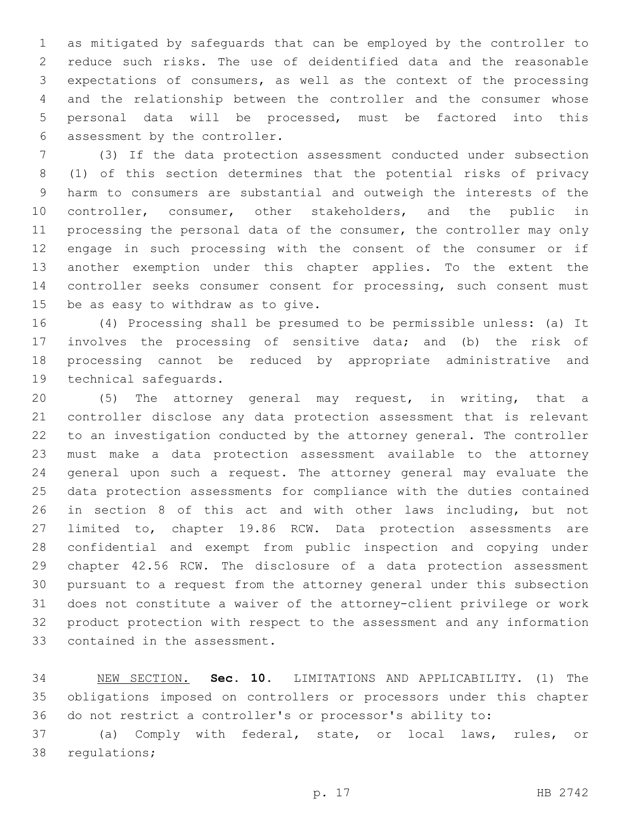as mitigated by safeguards that can be employed by the controller to reduce such risks. The use of deidentified data and the reasonable expectations of consumers, as well as the context of the processing and the relationship between the controller and the consumer whose personal data will be processed, must be factored into this 6 assessment by the controller.

 (3) If the data protection assessment conducted under subsection (1) of this section determines that the potential risks of privacy harm to consumers are substantial and outweigh the interests of the controller, consumer, other stakeholders, and the public in processing the personal data of the consumer, the controller may only engage in such processing with the consent of the consumer or if another exemption under this chapter applies. To the extent the 14 controller seeks consumer consent for processing, such consent must 15 be as easy to withdraw as to give.

 (4) Processing shall be presumed to be permissible unless: (a) It involves the processing of sensitive data; and (b) the risk of processing cannot be reduced by appropriate administrative and 19 technical safequards.

 (5) The attorney general may request, in writing, that a controller disclose any data protection assessment that is relevant to an investigation conducted by the attorney general. The controller must make a data protection assessment available to the attorney general upon such a request. The attorney general may evaluate the data protection assessments for compliance with the duties contained in section 8 of this act and with other laws including, but not limited to, chapter 19.86 RCW. Data protection assessments are confidential and exempt from public inspection and copying under chapter 42.56 RCW. The disclosure of a data protection assessment pursuant to a request from the attorney general under this subsection does not constitute a waiver of the attorney-client privilege or work product protection with respect to the assessment and any information 33 contained in the assessment.

 NEW SECTION. **Sec. 10.** LIMITATIONS AND APPLICABILITY. (1) The obligations imposed on controllers or processors under this chapter do not restrict a controller's or processor's ability to:

 (a) Comply with federal, state, or local laws, rules, or 38 regulations;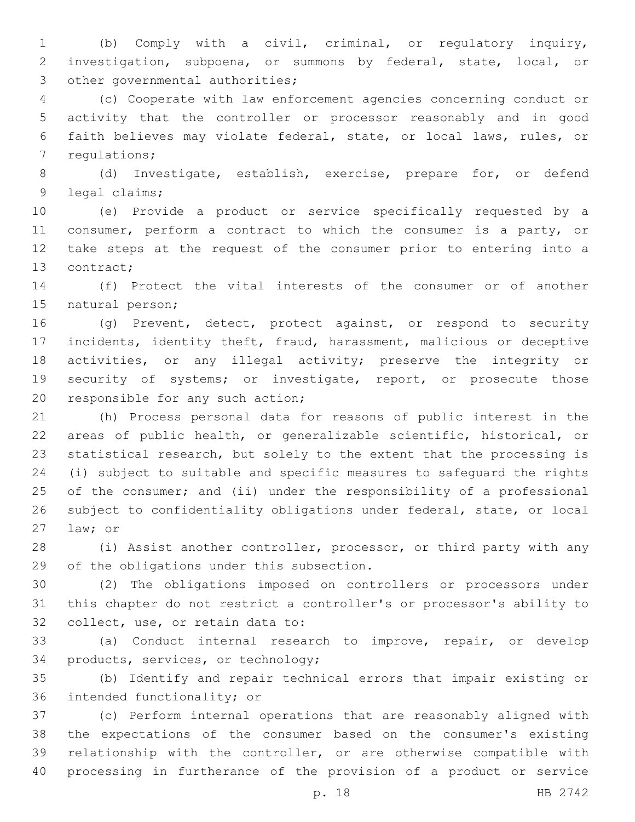(b) Comply with a civil, criminal, or regulatory inquiry, investigation, subpoena, or summons by federal, state, local, or 3 other governmental authorities;

 (c) Cooperate with law enforcement agencies concerning conduct or activity that the controller or processor reasonably and in good faith believes may violate federal, state, or local laws, rules, or 7 regulations;

 (d) Investigate, establish, exercise, prepare for, or defend 9 legal claims;

 (e) Provide a product or service specifically requested by a 11 consumer, perform a contract to which the consumer is a party, or take steps at the request of the consumer prior to entering into a 13 contract;

 (f) Protect the vital interests of the consumer or of another 15 natural person;

 (g) Prevent, detect, protect against, or respond to security incidents, identity theft, fraud, harassment, malicious or deceptive activities, or any illegal activity; preserve the integrity or security of systems; or investigate, report, or prosecute those 20 responsible for any such action;

 (h) Process personal data for reasons of public interest in the areas of public health, or generalizable scientific, historical, or statistical research, but solely to the extent that the processing is (i) subject to suitable and specific measures to safeguard the rights of the consumer; and (ii) under the responsibility of a professional subject to confidentiality obligations under federal, state, or local 27 law; or

 (i) Assist another controller, processor, or third party with any 29 of the obligations under this subsection.

 (2) The obligations imposed on controllers or processors under this chapter do not restrict a controller's or processor's ability to 32 collect, use, or retain data to:

 (a) Conduct internal research to improve, repair, or develop 34 products, services, or technology;

 (b) Identify and repair technical errors that impair existing or 36 intended functionality; or

 (c) Perform internal operations that are reasonably aligned with the expectations of the consumer based on the consumer's existing relationship with the controller, or are otherwise compatible with processing in furtherance of the provision of a product or service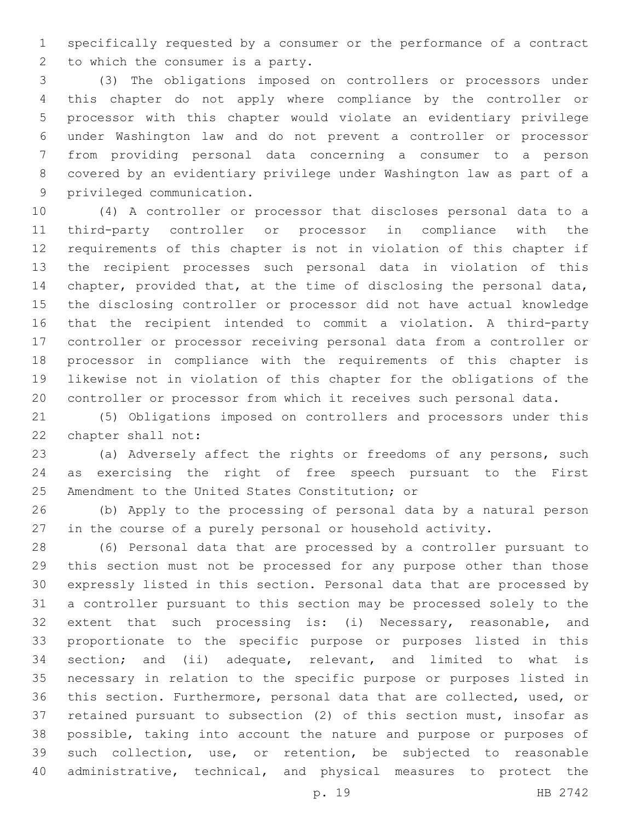specifically requested by a consumer or the performance of a contract 2 to which the consumer is a party.

 (3) The obligations imposed on controllers or processors under this chapter do not apply where compliance by the controller or processor with this chapter would violate an evidentiary privilege under Washington law and do not prevent a controller or processor from providing personal data concerning a consumer to a person covered by an evidentiary privilege under Washington law as part of a 9 privileged communication.

 (4) A controller or processor that discloses personal data to a third-party controller or processor in compliance with the requirements of this chapter is not in violation of this chapter if the recipient processes such personal data in violation of this chapter, provided that, at the time of disclosing the personal data, the disclosing controller or processor did not have actual knowledge that the recipient intended to commit a violation. A third-party controller or processor receiving personal data from a controller or processor in compliance with the requirements of this chapter is likewise not in violation of this chapter for the obligations of the controller or processor from which it receives such personal data.

 (5) Obligations imposed on controllers and processors under this 22 chapter shall not:

 (a) Adversely affect the rights or freedoms of any persons, such as exercising the right of free speech pursuant to the First 25 Amendment to the United States Constitution; or

 (b) Apply to the processing of personal data by a natural person in the course of a purely personal or household activity.

 (6) Personal data that are processed by a controller pursuant to this section must not be processed for any purpose other than those expressly listed in this section. Personal data that are processed by a controller pursuant to this section may be processed solely to the 32 extent that such processing is: (i) Necessary, reasonable, and proportionate to the specific purpose or purposes listed in this section; and (ii) adequate, relevant, and limited to what is necessary in relation to the specific purpose or purposes listed in this section. Furthermore, personal data that are collected, used, or retained pursuant to subsection (2) of this section must, insofar as possible, taking into account the nature and purpose or purposes of such collection, use, or retention, be subjected to reasonable administrative, technical, and physical measures to protect the

p. 19 HB 2742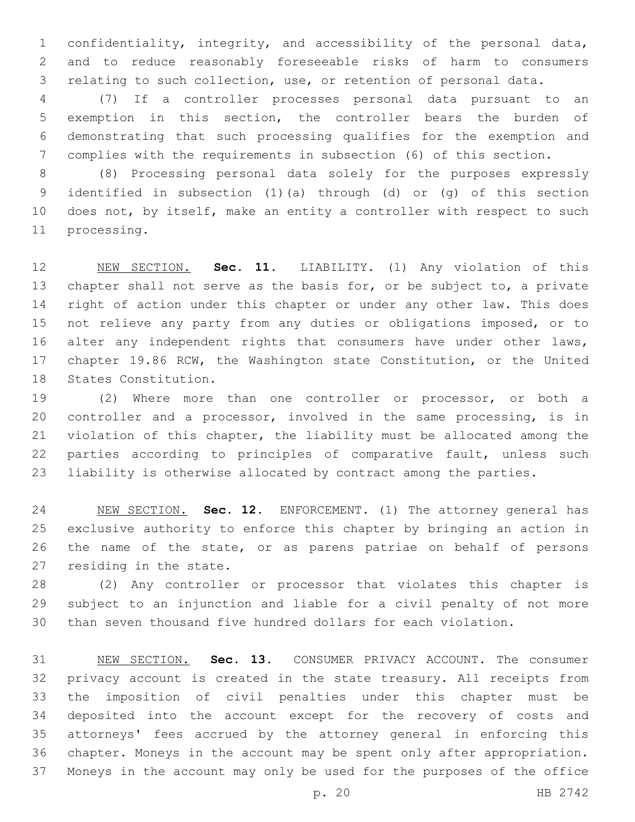confidentiality, integrity, and accessibility of the personal data, and to reduce reasonably foreseeable risks of harm to consumers relating to such collection, use, or retention of personal data.

 (7) If a controller processes personal data pursuant to an exemption in this section, the controller bears the burden of demonstrating that such processing qualifies for the exemption and complies with the requirements in subsection (6) of this section.

 (8) Processing personal data solely for the purposes expressly identified in subsection (1)(a) through (d) or (g) of this section does not, by itself, make an entity a controller with respect to such 11 processing.

 NEW SECTION. **Sec. 11.** LIABILITY. (1) Any violation of this 13 chapter shall not serve as the basis for, or be subject to, a private 14 right of action under this chapter or under any other law. This does not relieve any party from any duties or obligations imposed, or to 16 alter any independent rights that consumers have under other laws, chapter 19.86 RCW, the Washington state Constitution, or the United States Constitution.

 (2) Where more than one controller or processor, or both a controller and a processor, involved in the same processing, is in violation of this chapter, the liability must be allocated among the parties according to principles of comparative fault, unless such liability is otherwise allocated by contract among the parties.

 NEW SECTION. **Sec. 12.** ENFORCEMENT. (1) The attorney general has exclusive authority to enforce this chapter by bringing an action in the name of the state, or as parens patriae on behalf of persons residing in the state.

 (2) Any controller or processor that violates this chapter is subject to an injunction and liable for a civil penalty of not more than seven thousand five hundred dollars for each violation.

 NEW SECTION. **Sec. 13.** CONSUMER PRIVACY ACCOUNT. The consumer privacy account is created in the state treasury. All receipts from the imposition of civil penalties under this chapter must be deposited into the account except for the recovery of costs and attorneys' fees accrued by the attorney general in enforcing this chapter. Moneys in the account may be spent only after appropriation. Moneys in the account may only be used for the purposes of the office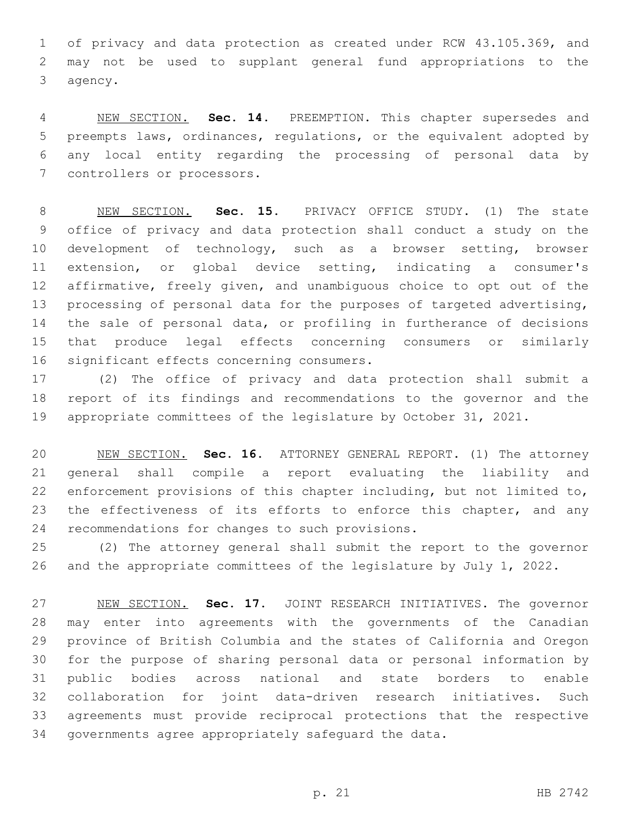of privacy and data protection as created under RCW 43.105.369, and may not be used to supplant general fund appropriations to the 3 agency.

 NEW SECTION. **Sec. 14.** PREEMPTION. This chapter supersedes and preempts laws, ordinances, regulations, or the equivalent adopted by any local entity regarding the processing of personal data by controllers or processors.

 NEW SECTION. **Sec. 15.** PRIVACY OFFICE STUDY. (1) The state office of privacy and data protection shall conduct a study on the development of technology, such as a browser setting, browser extension, or global device setting, indicating a consumer's affirmative, freely given, and unambiguous choice to opt out of the 13 processing of personal data for the purposes of targeted advertising, the sale of personal data, or profiling in furtherance of decisions that produce legal effects concerning consumers or similarly significant effects concerning consumers.

 (2) The office of privacy and data protection shall submit a report of its findings and recommendations to the governor and the appropriate committees of the legislature by October 31, 2021.

 NEW SECTION. **Sec. 16.** ATTORNEY GENERAL REPORT. (1) The attorney general shall compile a report evaluating the liability and enforcement provisions of this chapter including, but not limited to, 23 the effectiveness of its efforts to enforce this chapter, and any recommendations for changes to such provisions.

 (2) The attorney general shall submit the report to the governor and the appropriate committees of the legislature by July 1, 2022.

 NEW SECTION. **Sec. 17.** JOINT RESEARCH INITIATIVES. The governor may enter into agreements with the governments of the Canadian province of British Columbia and the states of California and Oregon for the purpose of sharing personal data or personal information by public bodies across national and state borders to enable collaboration for joint data-driven research initiatives. Such agreements must provide reciprocal protections that the respective governments agree appropriately safeguard the data.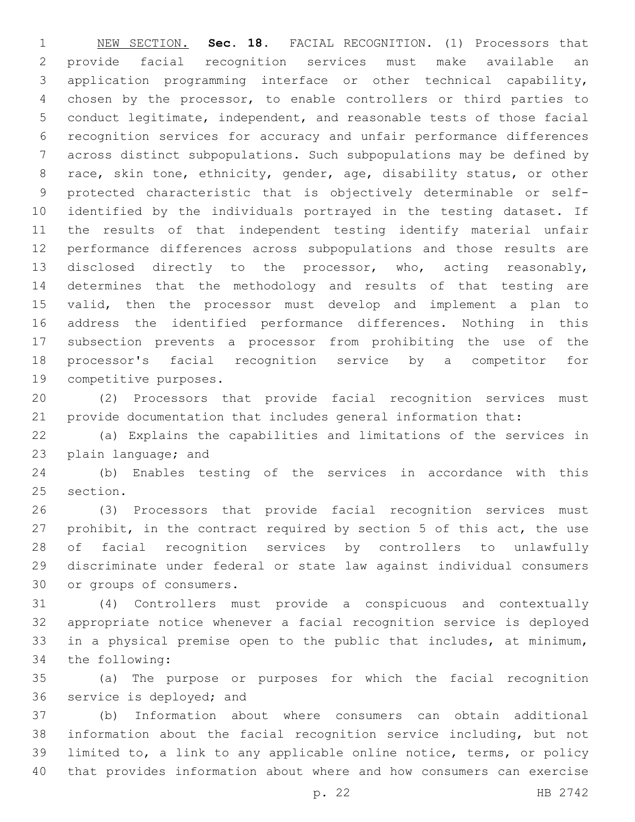NEW SECTION. **Sec. 18.** FACIAL RECOGNITION. (1) Processors that provide facial recognition services must make available an application programming interface or other technical capability, chosen by the processor, to enable controllers or third parties to conduct legitimate, independent, and reasonable tests of those facial recognition services for accuracy and unfair performance differences across distinct subpopulations. Such subpopulations may be defined by race, skin tone, ethnicity, gender, age, disability status, or other protected characteristic that is objectively determinable or self- identified by the individuals portrayed in the testing dataset. If the results of that independent testing identify material unfair performance differences across subpopulations and those results are disclosed directly to the processor, who, acting reasonably, determines that the methodology and results of that testing are valid, then the processor must develop and implement a plan to address the identified performance differences. Nothing in this subsection prevents a processor from prohibiting the use of the processor's facial recognition service by a competitor for competitive purposes.

 (2) Processors that provide facial recognition services must provide documentation that includes general information that:

 (a) Explains the capabilities and limitations of the services in 23 plain language; and

 (b) Enables testing of the services in accordance with this 25 section.

 (3) Processors that provide facial recognition services must prohibit, in the contract required by section 5 of this act, the use of facial recognition services by controllers to unlawfully discriminate under federal or state law against individual consumers 30 or groups of consumers.

 (4) Controllers must provide a conspicuous and contextually appropriate notice whenever a facial recognition service is deployed in a physical premise open to the public that includes, at minimum, 34 the following:

 (a) The purpose or purposes for which the facial recognition 36 service is deployed; and

 (b) Information about where consumers can obtain additional information about the facial recognition service including, but not limited to, a link to any applicable online notice, terms, or policy that provides information about where and how consumers can exercise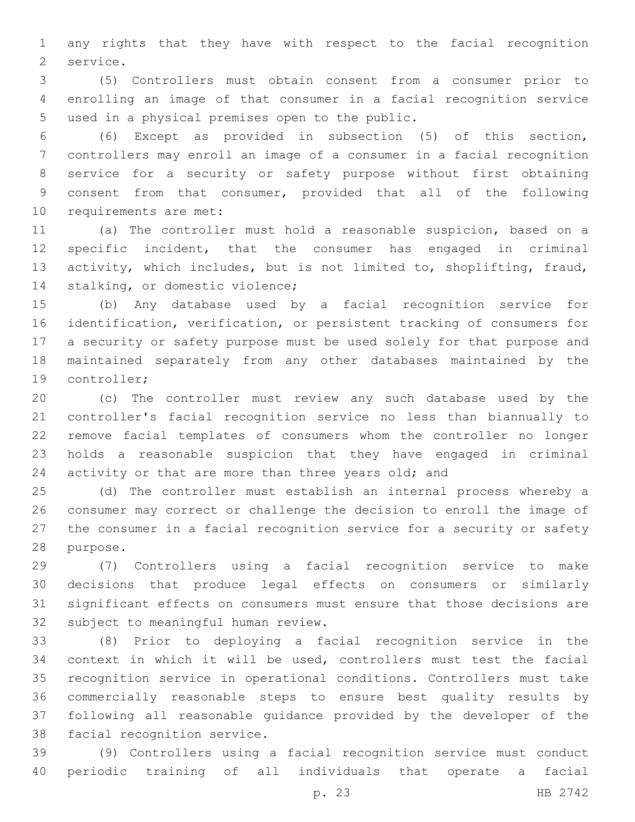any rights that they have with respect to the facial recognition 2 service.

 (5) Controllers must obtain consent from a consumer prior to enrolling an image of that consumer in a facial recognition service 5 used in a physical premises open to the public.

 (6) Except as provided in subsection (5) of this section, controllers may enroll an image of a consumer in a facial recognition service for a security or safety purpose without first obtaining consent from that consumer, provided that all of the following 10 requirements are met:

 (a) The controller must hold a reasonable suspicion, based on a specific incident, that the consumer has engaged in criminal activity, which includes, but is not limited to, shoplifting, fraud, 14 stalking, or domestic violence;

 (b) Any database used by a facial recognition service for identification, verification, or persistent tracking of consumers for a security or safety purpose must be used solely for that purpose and maintained separately from any other databases maintained by the 19 controller;

 (c) The controller must review any such database used by the controller's facial recognition service no less than biannually to remove facial templates of consumers whom the controller no longer holds a reasonable suspicion that they have engaged in criminal 24 activity or that are more than three years old; and

 (d) The controller must establish an internal process whereby a consumer may correct or challenge the decision to enroll the image of the consumer in a facial recognition service for a security or safety 28 purpose.

 (7) Controllers using a facial recognition service to make decisions that produce legal effects on consumers or similarly significant effects on consumers must ensure that those decisions are 32 subject to meaningful human review.

 (8) Prior to deploying a facial recognition service in the context in which it will be used, controllers must test the facial recognition service in operational conditions. Controllers must take commercially reasonable steps to ensure best quality results by following all reasonable guidance provided by the developer of the 38 facial recognition service.

 (9) Controllers using a facial recognition service must conduct periodic training of all individuals that operate a facial